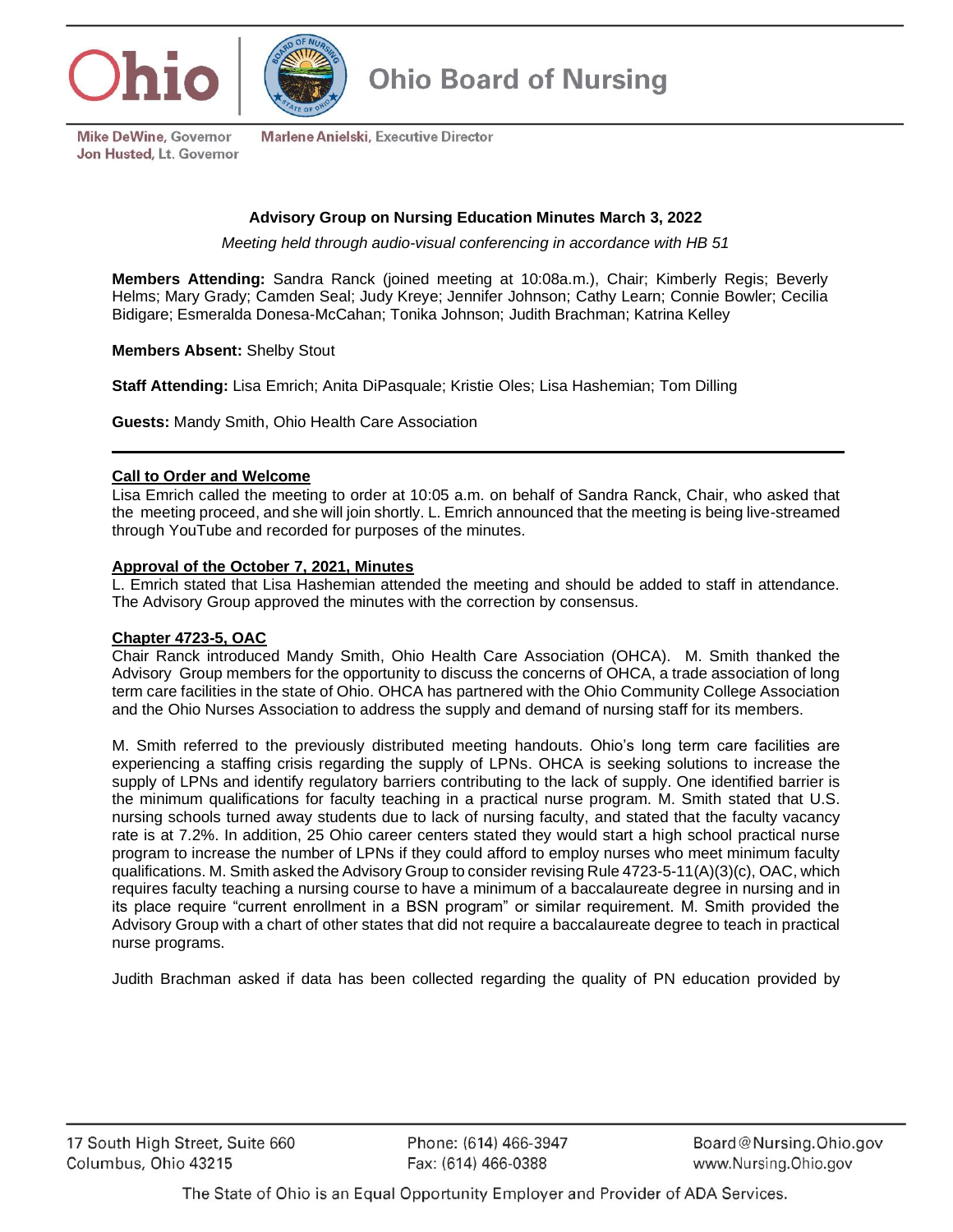



**Mike DeWine, Governor** Jon Husted, Lt. Governor

Marlene Anielski, Executive Director

# **Advisory Group on Nursing Education Minutes March 3, 2022**

*Meeting held through audio-visual conferencing in accordance with HB 51*

**Members Attending:** Sandra Ranck (joined meeting at 10:08a.m.), Chair; Kimberly Regis; Beverly Helms; Mary Grady; Camden Seal; Judy Kreye; Jennifer Johnson; Cathy Learn; Connie Bowler; Cecilia Bidigare; Esmeralda Donesa-McCahan; Tonika Johnson; Judith Brachman; Katrina Kelley

**Members Absent:** Shelby Stout

**Staff Attending:** Lisa Emrich; Anita DiPasquale; Kristie Oles; Lisa Hashemian; Tom Dilling

**Guests:** Mandy Smith, Ohio Health Care Association

### **Call to Order and Welcome**

Lisa Emrich called the meeting to order at 10:05 a.m. on behalf of Sandra Ranck, Chair, who asked that the meeting proceed, and she will join shortly. L. Emrich announced that the meeting is being live-streamed through YouTube and recorded for purposes of the minutes.

# **Approval of the October 7, 2021, Minutes**

L. Emrich stated that Lisa Hashemian attended the meeting and should be added to staff in attendance. The Advisory Group approved the minutes with the correction by consensus.

#### **Chapter 4723-5, OAC**

Chair Ranck introduced Mandy Smith, Ohio Health Care Association (OHCA). M. Smith thanked the Advisory Group members for the opportunity to discuss the concerns of OHCA, a trade association of long term care facilities in the state of Ohio. OHCA has partnered with the Ohio Community College Association and the Ohio Nurses Association to address the supply and demand of nursing staff for its members.

M. Smith referred to the previously distributed meeting handouts. Ohio's long term care facilities are experiencing a staffing crisis regarding the supply of LPNs. OHCA is seeking solutions to increase the supply of LPNs and identify regulatory barriers contributing to the lack of supply. One identified barrier is the minimum qualifications for faculty teaching in a practical nurse program. M. Smith stated that U.S. nursing schools turned away students due to lack of nursing faculty, and stated that the faculty vacancy rate is at 7.2%. In addition, 25 Ohio career centers stated they would start a high school practical nurse program to increase the number of LPNs if they could afford to employ nurses who meet minimum faculty qualifications. M. Smith asked the Advisory Group to consider revising Rule 4723-5-11(A)(3)(c), OAC, which requires faculty teaching a nursing course to have a minimum of a baccalaureate degree in nursing and in its place require "current enrollment in a BSN program" or similar requirement. M. Smith provided the Advisory Group with a chart of other states that did not require a baccalaureate degree to teach in practical nurse programs.

Judith Brachman asked if data has been collected regarding the quality of PN education provided by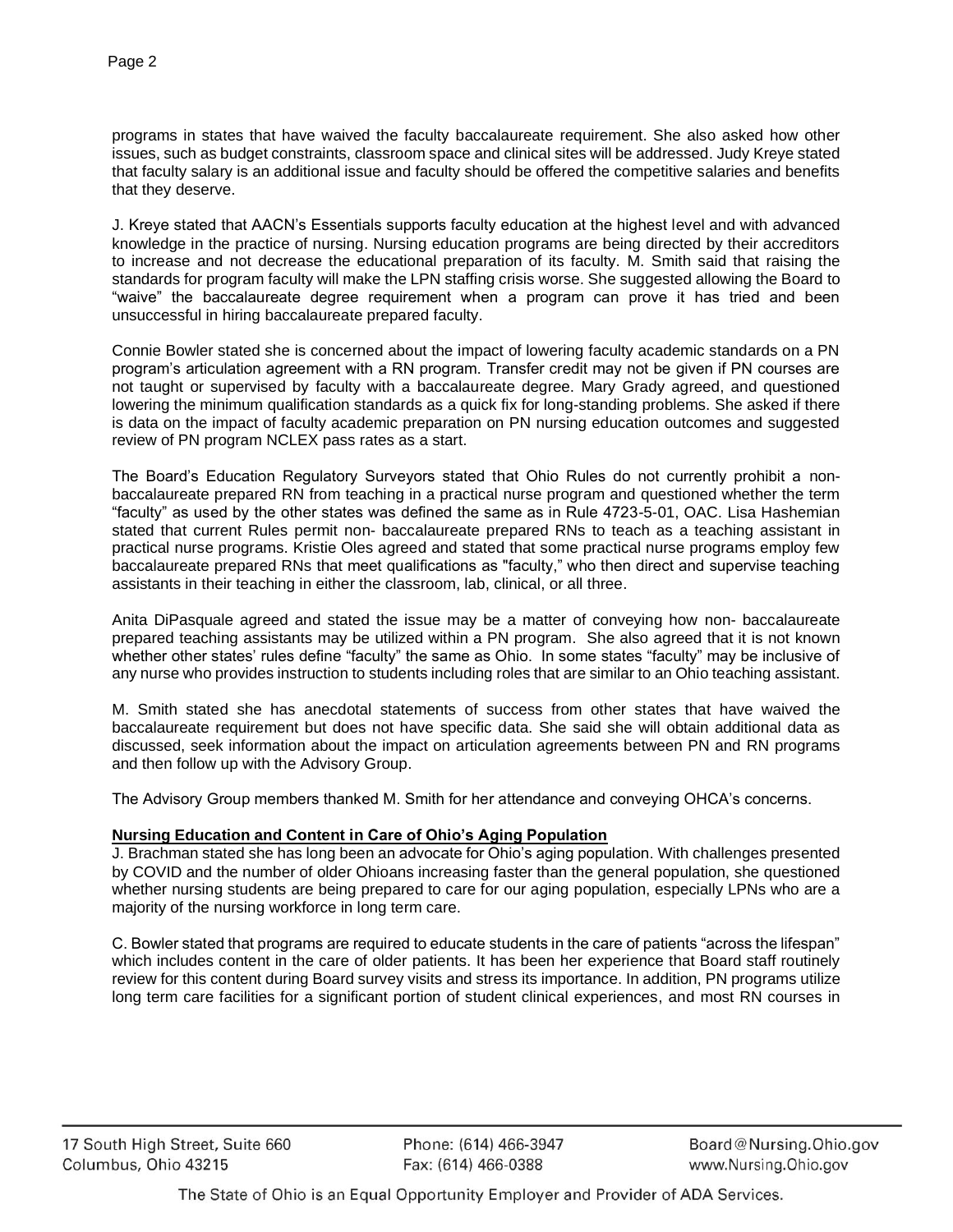programs in states that have waived the faculty baccalaureate requirement. She also asked how other issues, such as budget constraints, classroom space and clinical sites will be addressed. Judy Kreye stated that faculty salary is an additional issue and faculty should be offered the competitive salaries and benefits that they deserve.

J. Kreye stated that AACN's Essentials supports faculty education at the highest level and with advanced knowledge in the practice of nursing. Nursing education programs are being directed by their accreditors to increase and not decrease the educational preparation of its faculty. M. Smith said that raising the standards for program faculty will make the LPN staffing crisis worse. She suggested allowing the Board to "waive" the baccalaureate degree requirement when a program can prove it has tried and been unsuccessful in hiring baccalaureate prepared faculty.

Connie Bowler stated she is concerned about the impact of lowering faculty academic standards on a PN program's articulation agreement with a RN program. Transfer credit may not be given if PN courses are not taught or supervised by faculty with a baccalaureate degree. Mary Grady agreed, and questioned lowering the minimum qualification standards as a quick fix for long-standing problems. She asked if there is data on the impact of faculty academic preparation on PN nursing education outcomes and suggested review of PN program NCLEX pass rates as a start.

The Board's Education Regulatory Surveyors stated that Ohio Rules do not currently prohibit a nonbaccalaureate prepared RN from teaching in a practical nurse program and questioned whether the term "faculty" as used by the other states was defined the same as in Rule 4723-5-01, OAC. Lisa Hashemian stated that current Rules permit non- baccalaureate prepared RNs to teach as a teaching assistant in practical nurse programs. Kristie Oles agreed and stated that some practical nurse programs employ few baccalaureate prepared RNs that meet qualifications as "faculty," who then direct and supervise teaching assistants in their teaching in either the classroom, lab, clinical, or all three.

Anita DiPasquale agreed and stated the issue may be a matter of conveying how non- baccalaureate prepared teaching assistants may be utilized within a PN program. She also agreed that it is not known whether other states' rules define "faculty" the same as Ohio. In some states "faculty" may be inclusive of any nurse who provides instruction to students including roles that are similar to an Ohio teaching assistant.

M. Smith stated she has anecdotal statements of success from other states that have waived the baccalaureate requirement but does not have specific data. She said she will obtain additional data as discussed, seek information about the impact on articulation agreements between PN and RN programs and then follow up with the Advisory Group.

The Advisory Group members thanked M. Smith for her attendance and conveying OHCA's concerns.

## **Nursing Education and Content in Care of Ohio's Aging Population**

J. Brachman stated she has long been an advocate for Ohio's aging population. With challenges presented by COVID and the number of older Ohioans increasing faster than the general population, she questioned whether nursing students are being prepared to care for our aging population, especially LPNs who are a majority of the nursing workforce in long term care.

C. Bowler stated that programs are required to educate students in the care of patients "across the lifespan" which includes content in the care of older patients. It has been her experience that Board staff routinely review for this content during Board survey visits and stress its importance. In addition, PN programs utilize long term care facilities for a significant portion of student clinical experiences, and most RN courses in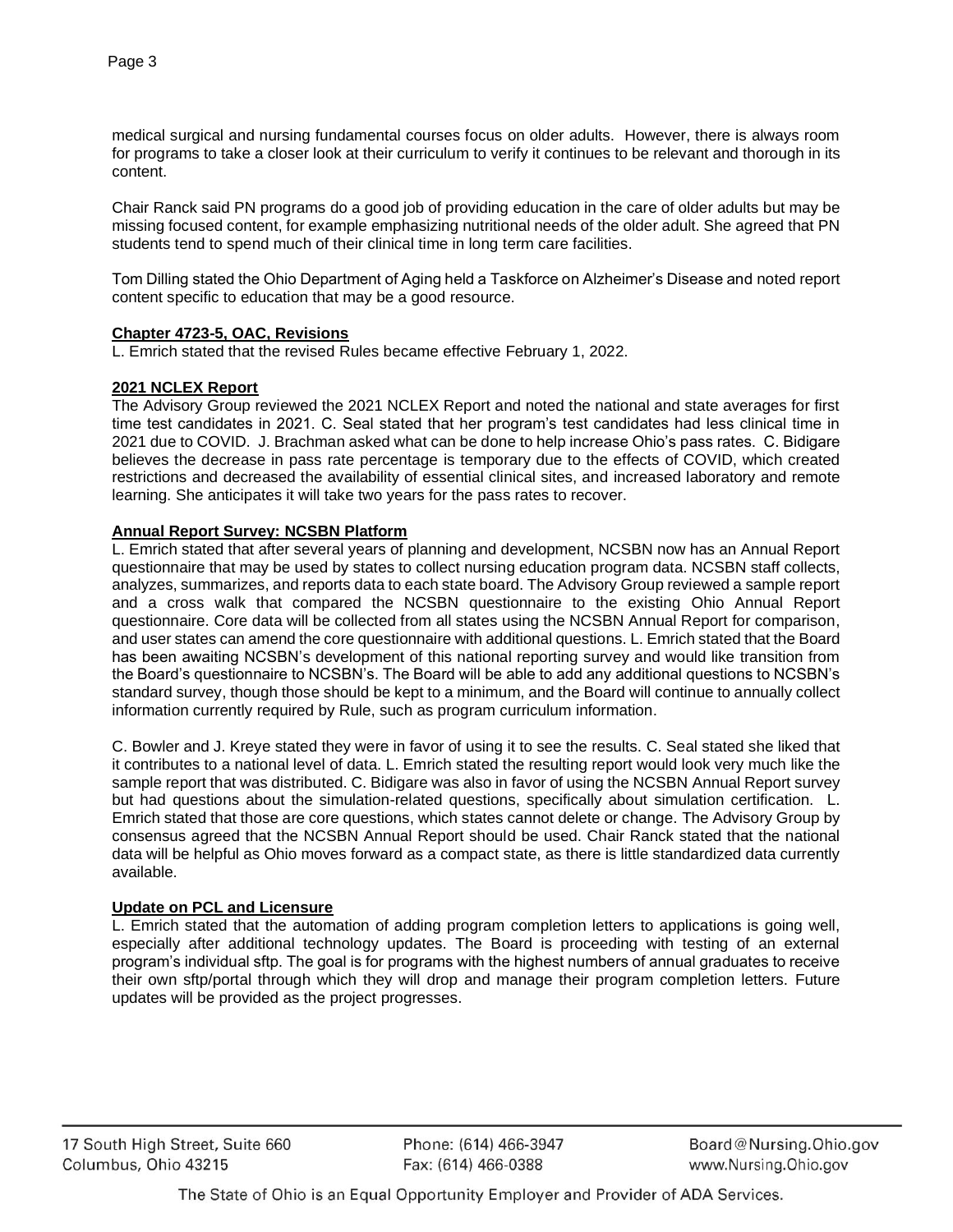medical surgical and nursing fundamental courses focus on older adults. However, there is always room for programs to take a closer look at their curriculum to verify it continues to be relevant and thorough in its content.

Chair Ranck said PN programs do a good job of providing education in the care of older adults but may be missing focused content, for example emphasizing nutritional needs of the older adult. She agreed that PN students tend to spend much of their clinical time in long term care facilities.

Tom Dilling stated the Ohio Department of Aging held a Taskforce on Alzheimer's Disease and noted report content specific to education that may be a good resource.

## **Chapter 4723-5, OAC, Revisions**

L. Emrich stated that the revised Rules became effective February 1, 2022.

### **2021 NCLEX Report**

The Advisory Group reviewed the 2021 NCLEX Report and noted the national and state averages for first time test candidates in 2021. C. Seal stated that her program's test candidates had less clinical time in 2021 due to COVID. J. Brachman asked what can be done to help increase Ohio's pass rates. C. Bidigare believes the decrease in pass rate percentage is temporary due to the effects of COVID, which created restrictions and decreased the availability of essential clinical sites, and increased laboratory and remote learning. She anticipates it will take two years for the pass rates to recover.

## **Annual Report Survey: NCSBN Platform**

L. Emrich stated that after several years of planning and development, NCSBN now has an Annual Report questionnaire that may be used by states to collect nursing education program data. NCSBN staff collects, analyzes, summarizes, and reports data to each state board. The Advisory Group reviewed a sample report and a cross walk that compared the NCSBN questionnaire to the existing Ohio Annual Report questionnaire. Core data will be collected from all states using the NCSBN Annual Report for comparison, and user states can amend the core questionnaire with additional questions. L. Emrich stated that the Board has been awaiting NCSBN's development of this national reporting survey and would like transition from the Board's questionnaire to NCSBN's. The Board will be able to add any additional questions to NCSBN's standard survey, though those should be kept to a minimum, and the Board will continue to annually collect information currently required by Rule, such as program curriculum information.

C. Bowler and J. Kreye stated they were in favor of using it to see the results. C. Seal stated she liked that it contributes to a national level of data. L. Emrich stated the resulting report would look very much like the sample report that was distributed. C. Bidigare was also in favor of using the NCSBN Annual Report survey but had questions about the simulation-related questions, specifically about simulation certification. L. Emrich stated that those are core questions, which states cannot delete or change. The Advisory Group by consensus agreed that the NCSBN Annual Report should be used. Chair Ranck stated that the national data will be helpful as Ohio moves forward as a compact state, as there is little standardized data currently available.

#### **Update on PCL and Licensure**

L. Emrich stated that the automation of adding program completion letters to applications is going well, especially after additional technology updates. The Board is proceeding with testing of an external program's individual sftp. The goal is for programs with the highest numbers of annual graduates to receive their own sftp/portal through which they will drop and manage their program completion letters. Future updates will be provided as the project progresses.

Phone: (614) 466-3947 Fax: (614) 466-0388